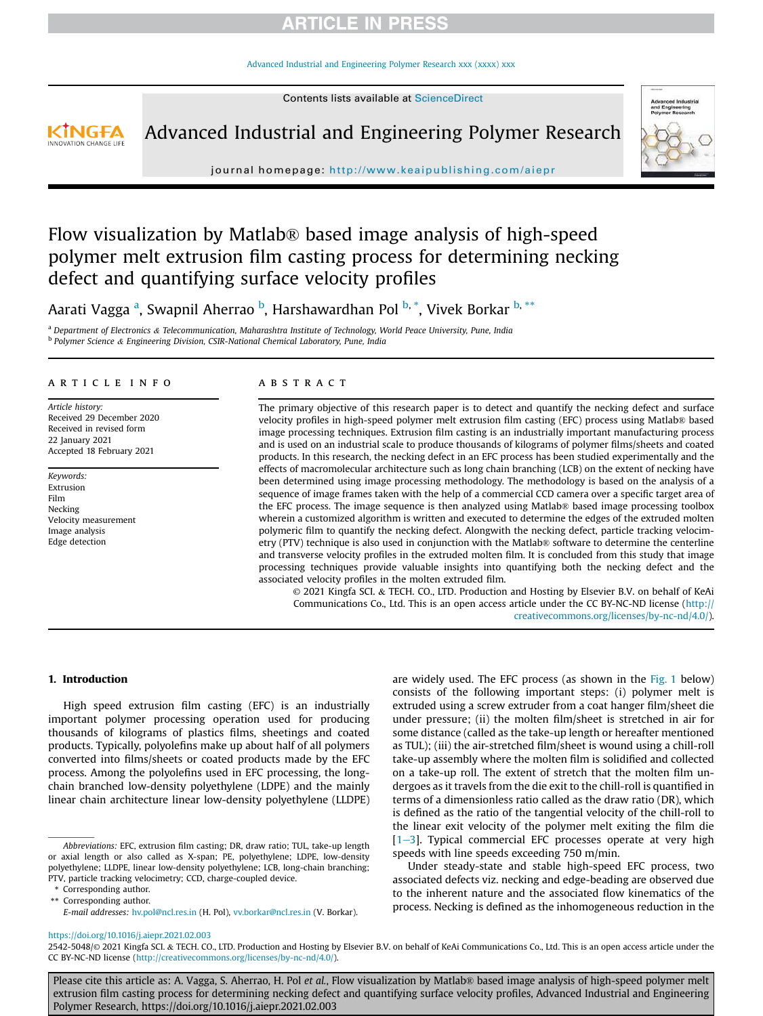Advanced Industrial and Engineering Polymer Research xxx (xxxx) xxx

Contents lists available at ScienceDirect



Advanced Industrial and Engineering Polymer Research



journal homepage: http://www.keaipublishing.com/aiepr

# Flow visualization by Matlab® based image analysis of high-speed polymer melt extrusion film casting process for determining necking defect and quantifying surface velocity profiles

Aarati Vagga <sup>a</sup>, Swapnil Aherrao <sup>b</sup>, Harshawardhan Pol <sup>b, \*</sup>, Vivek Borkar <sup>b, \*\*</sup>

<sup>a</sup> *Department of Electronics* & *Telecommunication, Maharashtra Institute of Technology, World Peace University, Pune, India* b *Polymer Science* & *Engineering Division, CSIR-National Chemical Laboratory, Pune, India*

#### article info

*Article history:* Received 29 December 2020 Received in revised form 22 January 2021 Accepted 18 February 2021

*Keywords:* Extrusion Film Necking Velocity measurement Image analysis Edge detection

### ABSTRACT

The primary objective of this research paper is to detect and quantify the necking defect and surface velocity profiles in high-speed polymer melt extrusion film casting (EFC) process using Matlab® based image processing techniques. Extrusion film casting is an industrially important manufacturing process and is used on an industrial scale to produce thousands of kilograms of polymer films/sheets and coated products. In this research, the necking defect in an EFC process has been studied experimentally and the effects of macromolecular architecture such as long chain branching (LCB) on the extent of necking have been determined using image processing methodology. The methodology is based on the analysis of a sequence of image frames taken with the help of a commercial CCD camera over a specific target area of the EFC process. The image sequence is then analyzed using Matlab® based image processing toolbox wherein a customized algorithm is written and executed to determine the edges of the extruded molten polymeric film to quantify the necking defect. Alongwith the necking defect, particle tracking velocimetry (PTV) technique is also used in conjunction with the Matlab® software to determine the centerline and transverse velocity profiles in the extruded molten film. It is concluded from this study that image processing techniques provide valuable insights into quantifying both the necking defect and the associated velocity profiles in the molten extruded film.

© 2021 Kingfa SCI. & TECH. CO., LTD. Production and Hosting by Elsevier B.V. on behalf of KeAi Communications Co., Ltd. This is an open access article under the CC BY-NC-ND license (http:// creativecommons.org/licenses/by-nc-nd/4.0/).

#### 1. Introduction

High speed extrusion film casting (EFC) is an industrially important polymer processing operation used for producing thousands of kilograms of plastics films, sheetings and coated products. Typically, polyolefins make up about half of all polymers converted into films/sheets or coated products made by the EFC process. Among the polyolefins used in EFC processing, the longchain branched low-density polyethylene (LDPE) and the mainly linear chain architecture linear low-density polyethylene (LLDPE)

\* Corresponding author. \*\* Corresponding author.

are widely used. The EFC process (as shown in the  $Fig. 1$  below) consists of the following important steps: (i) polymer melt is extruded using a screw extruder from a coat hanger film/sheet die under pressure; (ii) the molten film/sheet is stretched in air for some distance (called as the take-up length or hereafter mentioned as TUL); (iii) the air-stretched film/sheet is wound using a chill-roll take-up assembly where the molten film is solidified and collected on a take-up roll. The extent of stretch that the molten film undergoes as it travels from the die exit to the chill-roll is quantified in terms of a dimensionless ratio called as the draw ratio (DR), which is defined as the ratio of the tangential velocity of the chill-roll to the linear exit velocity of the polymer melt exiting the film die  $[1-3]$ . Typical commercial EFC processes operate at very high speeds with line speeds exceeding 750 m/min.

Under steady-state and stable high-speed EFC process, two associated defects viz. necking and edge-beading are observed due to the inherent nature and the associated flow kinematics of the process. Necking is defined as the inhomogeneous reduction in the

#### https://doi.org/10.1016/j.aiepr.2021.02.003

2542-5048/© 2021 Kingfa SCI. & TECH. CO., LTD. Production and Hosting by Elsevier B.V. on behalf of KeAi Communications Co., Ltd. This is an open access article under the CC BY-NC-ND license (http://creativecommons.org/licenses/by-nc-nd/4.0/).

Please cite this article as: A. Vagga, S. Aherrao, H. Pol *et al.*, Flow visualization by Matlab® based image analysis of high-speed polymer melt extrusion film casting process for determining necking defect and quantifying surface velocity profiles, Advanced Industrial and Engineering Polymer Research, https://doi.org/10.1016/j.aiepr.2021.02.003

*Abbreviations:* EFC, extrusion film casting; DR, draw ratio; TUL, take-up length or axial length or also called as X-span; PE, polyethylene; LDPE, low-density polyethylene; LLDPE, linear low-density polyethylene; LCB, long-chain branching; PTV, particle tracking velocimetry; CCD, charge-coupled device.

*E-mail addresses:* hv.pol@ncl.res.in (H. Pol), vv.borkar@ncl.res.in (V. Borkar).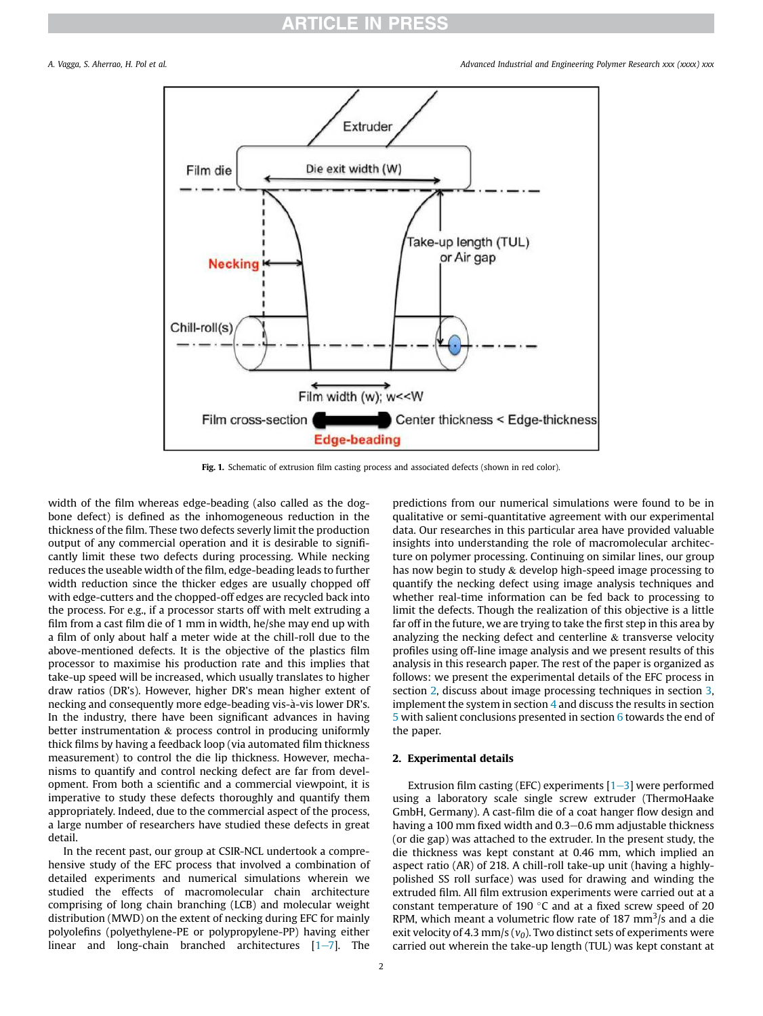*A. Vagga, S. Aherrao, H. Pol et al. Advanced Industrial and Engineering Polymer Research xxx (xxxx) xxx*



Fig. 1. Schematic of extrusion film casting process and associated defects (shown in red color).

width of the film whereas edge-beading (also called as the dogbone defect) is defined as the inhomogeneous reduction in the thickness of the film. These two defects severly limit the production output of any commercial operation and it is desirable to significantly limit these two defects during processing. While necking reduces the useable width of the film, edge-beading leads to further width reduction since the thicker edges are usually chopped off with edge-cutters and the chopped-off edges are recycled back into the process. For e.g., if a processor starts off with melt extruding a film from a cast film die of 1 mm in width, he/she may end up with a film of only about half a meter wide at the chill-roll due to the above-mentioned defects. It is the objective of the plastics film processor to maximise his production rate and this implies that take-up speed will be increased, which usually translates to higher draw ratios (DR's). However, higher DR's mean higher extent of necking and consequently more edge-beading vis-à-vis lower DR's. In the industry, there have been significant advances in having better instrumentation & process control in producing uniformly thick films by having a feedback loop (via automated film thickness measurement) to control the die lip thickness. However, mechanisms to quantify and control necking defect are far from development. From both a scientific and a commercial viewpoint, it is imperative to study these defects thoroughly and quantify them appropriately. Indeed, due to the commercial aspect of the process, a large number of researchers have studied these defects in great detail.

In the recent past, our group at CSIR-NCL undertook a comprehensive study of the EFC process that involved a combination of detailed experiments and numerical simulations wherein we studied the effects of macromolecular chain architecture comprising of long chain branching (LCB) and molecular weight distribution (MWD) on the extent of necking during EFC for mainly polyolefins (polyethylene-PE or polypropylene-PP) having either linear and long-chain branched architectures  $[1-7]$ . The

predictions from our numerical simulations were found to be in qualitative or semi-quantitative agreement with our experimental data. Our researches in this particular area have provided valuable insights into understanding the role of macromolecular architecture on polymer processing. Continuing on similar lines, our group has now begin to study & develop high-speed image processing to quantify the necking defect using image analysis techniques and whether real-time information can be fed back to processing to limit the defects. Though the realization of this objective is a little far off in the future, we are trying to take the first step in this area by analyzing the necking defect and centerline & transverse velocity profiles using off-line image analysis and we present results of this analysis in this research paper. The rest of the paper is organized as follows: we present the experimental details of the EFC process in section 2, discuss about image processing techniques in section 3, implement the system in section 4 and discuss the results in section 5 with salient conclusions presented in section 6 towards the end of the paper.

#### 2. Experimental details

Extrusion film casting (EFC) experiments  $[1-3]$  were performed using a laboratory scale single screw extruder (ThermoHaake GmbH, Germany). A cast-film die of a coat hanger flow design and having a 100 mm fixed width and 0.3–0.6 mm adjustable thickness (or die gap) was attached to the extruder. In the present study, the die thickness was kept constant at 0.46 mm, which implied an aspect ratio (AR) of 218. A chill-roll take-up unit (having a highlypolished SS roll surface) was used for drawing and winding the extruded film. All film extrusion experiments were carried out at a constant temperature of 190 $\degree$ C and at a fixed screw speed of 20 RPM, which meant a volumetric flow rate of 187 mm<sup>3</sup>/s and a die exit velocity of 4.3 mm/s (*v0*). Two distinct sets of experiments were carried out wherein the take-up length (TUL) was kept constant at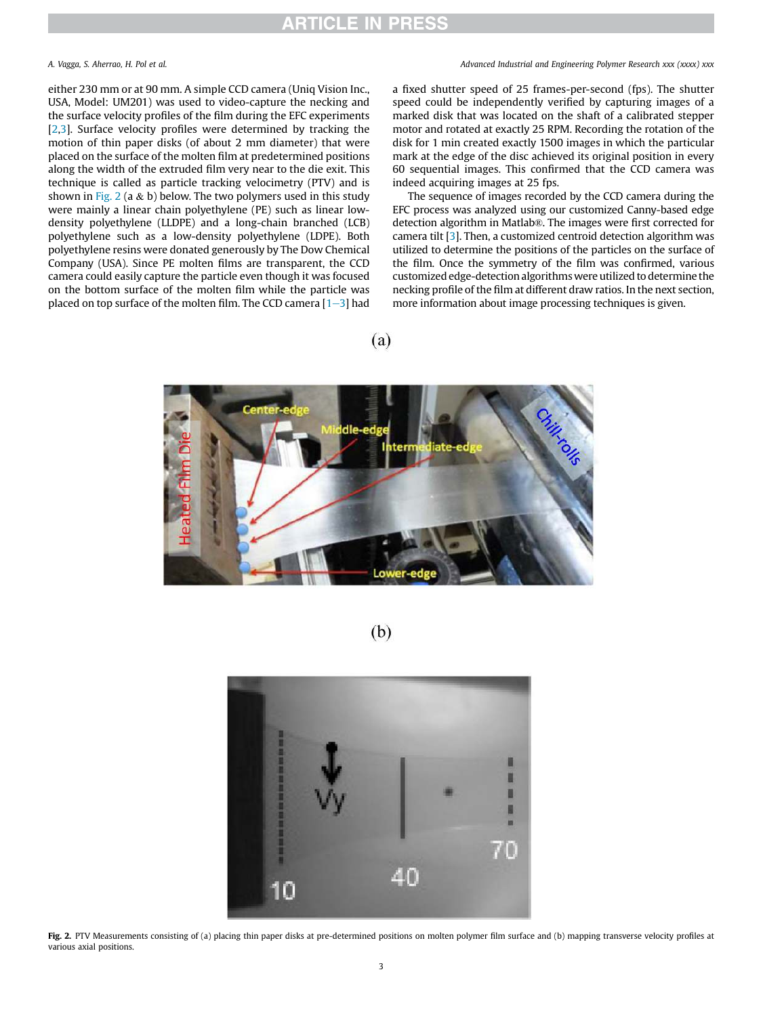#### *A. Vagga, S. Aherrao, H. Pol et al. Advanced Industrial and Engineering Polymer Research xxx (xxxx) xxx*

either 230 mm or at 90 mm. A simple CCD camera (Uniq Vision Inc., USA, Model: UM201) was used to video-capture the necking and the surface velocity profiles of the film during the EFC experiments [2,3]. Surface velocity profiles were determined by tracking the motion of thin paper disks (of about 2 mm diameter) that were placed on the surface of the molten film at predetermined positions along the width of the extruded film very near to the die exit. This technique is called as particle tracking velocimetry (PTV) and is shown in Fig. 2 (a & b) below. The two polymers used in this study were mainly a linear chain polyethylene (PE) such as linear lowdensity polyethylene (LLDPE) and a long-chain branched (LCB) polyethylene such as a low-density polyethylene (LDPE). Both polyethylene resins were donated generously by The Dow Chemical Company (USA). Since PE molten films are transparent, the CCD camera could easily capture the particle even though it was focused on the bottom surface of the molten film while the particle was placed on top surface of the molten film. The CCD camera  $[1-3]$  had a fixed shutter speed of 25 frames-per-second (fps). The shutter speed could be independently verified by capturing images of a marked disk that was located on the shaft of a calibrated stepper motor and rotated at exactly 25 RPM. Recording the rotation of the disk for 1 min created exactly 1500 images in which the particular mark at the edge of the disc achieved its original position in every 60 sequential images. This confirmed that the CCD camera was indeed acquiring images at 25 fps.

The sequence of images recorded by the CCD camera during the EFC process was analyzed using our customized Canny-based edge detection algorithm in Matlab®. The images were first corrected for camera tilt [3]. Then, a customized centroid detection algorithm was utilized to determine the positions of the particles on the surface of the film. Once the symmetry of the film was confirmed, various customized edge-detection algorithmswere utilized to determine the necking profile of the film at different draw ratios. In the next section, more information about image processing techniques is given.

 $(a)$ 



 $(b)$ 



Fig. 2. PTV Measurements consisting of (a) placing thin paper disks at pre-determined positions on molten polymer film surface and (b) mapping transverse velocity profiles at various axial positions.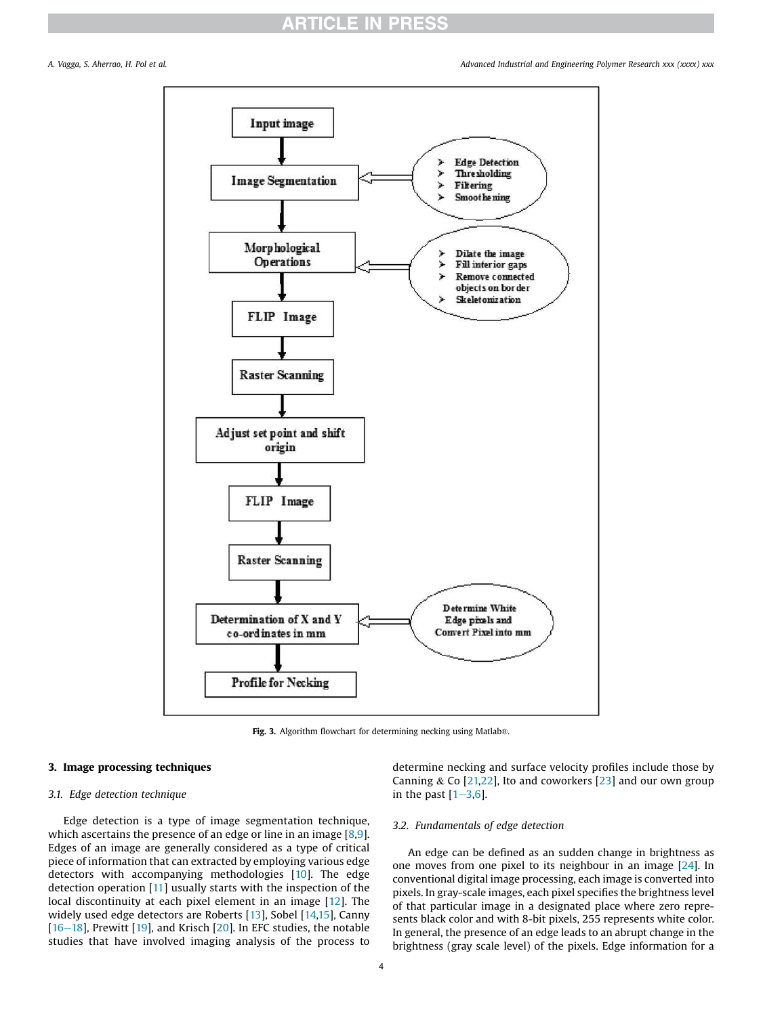*A. Vagga, S. Aherrao, H. Pol et al. Advanced Industrial and Engineering Polymer Research xxx (xxxx) xxx*



Fig. 3. Algorithm flowchart for determining necking using Matlab®.

#### 3. Image processing techniques

#### *3.1. Edge detection technique*

Edge detection is a type of image segmentation technique, which ascertains the presence of an edge or line in an image [8,9]. Edges of an image are generally considered as a type of critical piece of information that can extracted by employing various edge detectors with accompanying methodologies [10]. The edge detection operation [11] usually starts with the inspection of the local discontinuity at each pixel element in an image [12]. The widely used edge detectors are Roberts [13], Sobel [14,15], Canny  $[16-18]$ , Prewitt  $[19]$ , and Krisch  $[20]$ . In EFC studies, the notable studies that have involved imaging analysis of the process to

determine necking and surface velocity profiles include those by Canning & Co  $[21,22]$ , Ito and coworkers  $[23]$  and our own group in the past  $[1–3,6]$ .

#### *3.2. Fundamentals of edge detection*

An edge can be defined as an sudden change in brightness as one moves from one pixel to its neighbour in an image [24]. In conventional digital image processing, each image is converted into pixels. In gray-scale images, each pixel specifies the brightness level of that particular image in a designated place where zero represents black color and with 8-bit pixels, 255 represents white color. In general, the presence of an edge leads to an abrupt change in the brightness (gray scale level) of the pixels. Edge information for a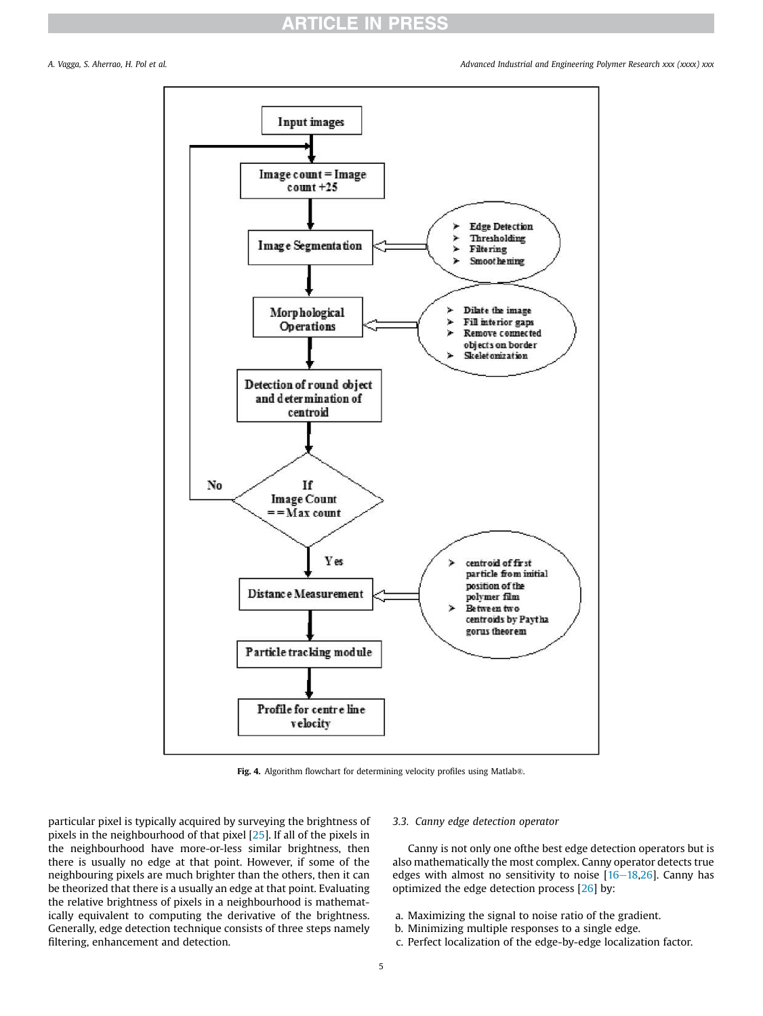

Fig. 4. Algorithm flowchart for determining velocity profiles using Matlab®.

particular pixel is typically acquired by surveying the brightness of pixels in the neighbourhood of that pixel [25]. If all of the pixels in the neighbourhood have more-or-less similar brightness, then there is usually no edge at that point. However, if some of the neighbouring pixels are much brighter than the others, then it can be theorized that there is a usually an edge at that point. Evaluating the relative brightness of pixels in a neighbourhood is mathematically equivalent to computing the derivative of the brightness. Generally, edge detection technique consists of three steps namely filtering, enhancement and detection.

#### *3.3. Canny edge detection operator*

Canny is not only one ofthe best edge detection operators but is also mathematically the most complex. Canny operator detects true edges with almost no sensitivity to noise  $[16-18,26]$ . Canny has optimized the edge detection process [26] by:

- a. Maximizing the signal to noise ratio of the gradient.
- b. Minimizing multiple responses to a single edge.
- c. Perfect localization of the edge-by-edge localization factor.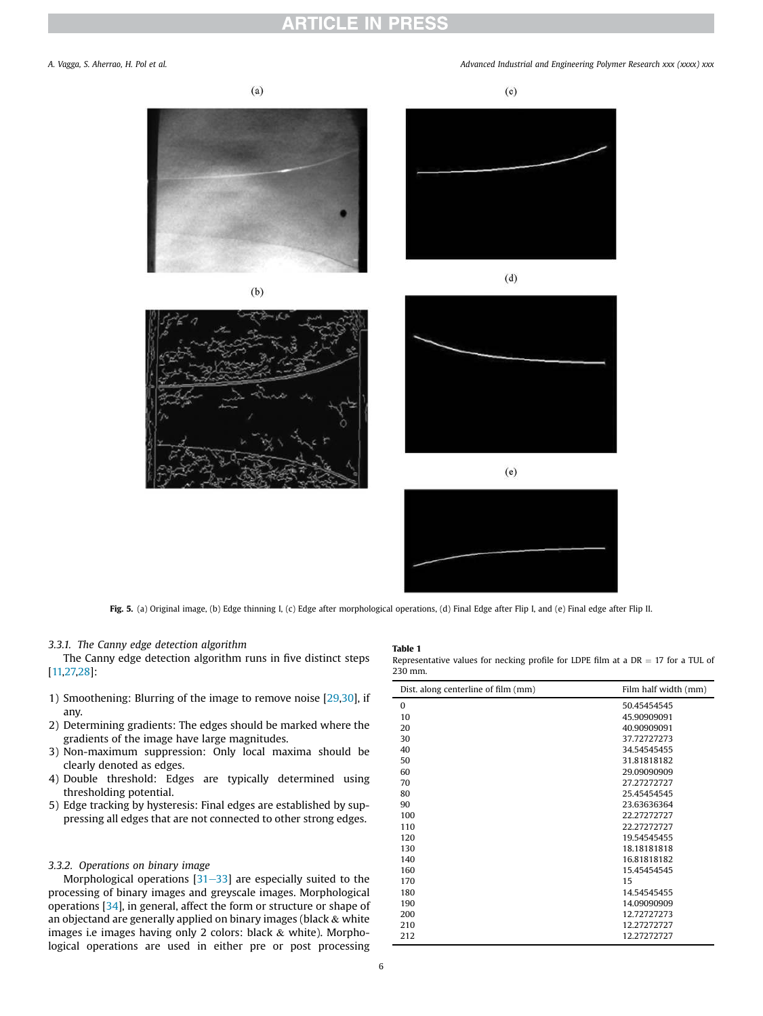#### *A. Vagga, S. Aherrao, H. Pol et al. Advanced Industrial and Engineering Polymer Research xxx (xxxx) xxx*







 $(e)$ 



Fig. 5. (a) Original image, (b) Edge thinning I, (c) Edge after morphological operations, (d) Final Edge after Flip I, and (e) Final edge after Flip II.

Table 1

#### *3.3.1. The Canny edge detection algorithm*

The Canny edge detection algorithm runs in five distinct steps [11,27,28]:

- 1) Smoothening: Blurring of the image to remove noise [29,30], if any.
- 2) Determining gradients: The edges should be marked where the gradients of the image have large magnitudes.
- 3) Non-maximum suppression: Only local maxima should be clearly denoted as edges.
- 4) Double threshold: Edges are typically determined using thresholding potential.
- 5) Edge tracking by hysteresis: Final edges are established by suppressing all edges that are not connected to other strong edges.

#### *3.3.2. Operations on binary image*

Morphological operations  $[31-33]$  are especially suited to the processing of binary images and greyscale images. Morphological operations [34], in general, affect the form or structure or shape of an objectand are generally applied on binary images (black  $\&$  white images i.e images having only 2 colors: black & white). Morphological operations are used in either pre or post processing

| 230 mm.                             |                      |
|-------------------------------------|----------------------|
| Dist, along centerline of film (mm) | Film half width (mm) |
| $\bf{0}$                            | 50.45454545          |
| 10                                  | 45.90909091          |
| 20                                  | 40.90909091          |
| 30                                  | 37.72727273          |
| 40                                  | 34.54545455          |
| 50                                  | 31.81818182          |
| 60                                  | 29.09090909          |
| 70                                  | 27.27272727          |
| 80                                  | 25.45454545          |
| 90                                  | 23.63636364          |
| 100                                 | 22.27272727          |
| 110                                 | 22.27272727          |
| 120                                 | 19.54545455          |
| 130                                 | 18.18181818          |
| 140                                 | 16.81818182          |
| 160                                 | 15.45454545          |
| 170                                 | 15                   |
| 180                                 | 14.54545455          |
| 190                                 | 14.09090909          |
| 200                                 | 12.72727273          |
| 210                                 | 12.27272727          |
| 212                                 | 12.27272727          |

Representative values for necking profile for LDPE film at a  $DR = 17$  for a TUL of

 $(c)$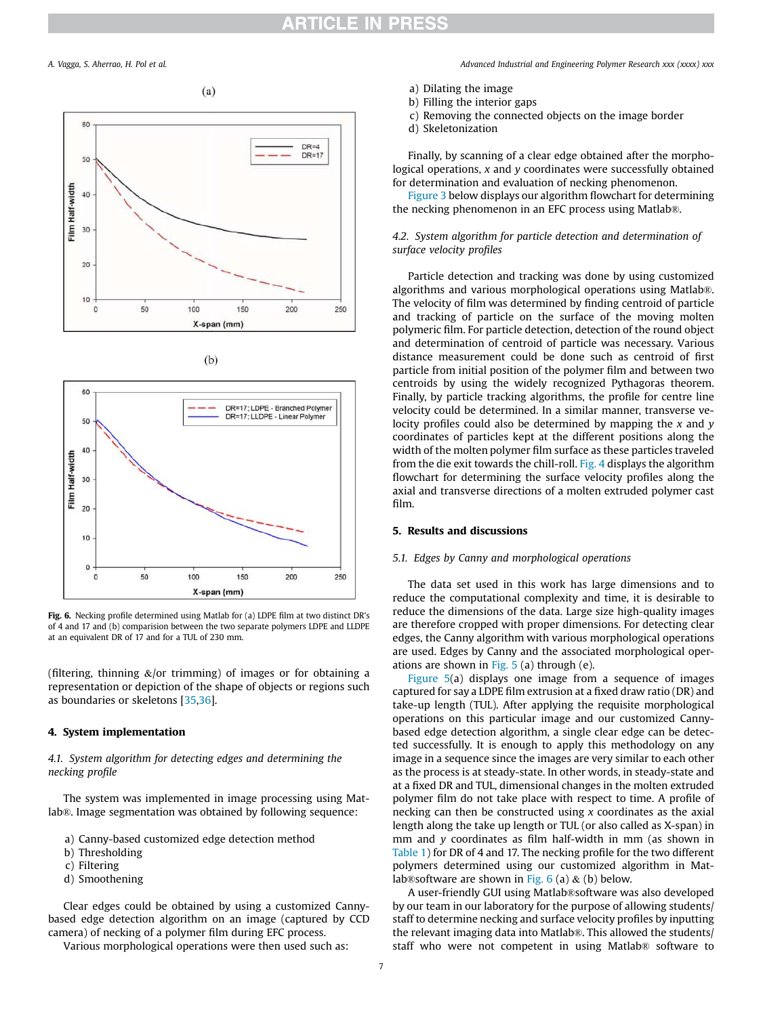*A. Vagga, S. Aherrao, H. Pol et al. Advanced Industrial and Engineering Polymer Research xxx (xxxx) xxx*

 $(a)$ 







Fig. 6. Necking profile determined using Matlab for (a) LDPE film at two distinct DR's of 4 and 17 and (b) comparision between the two separate polymers LDPE and LLDPE at an equivalent DR of 17 and for a TUL of 230 mm.

(filtering, thinning  $\&$ /or trimming) of images or for obtaining a representation or depiction of the shape of objects or regions such as boundaries or skeletons [35,36].

#### 4. System implementation

*4.1. System algorithm for detecting edges and determining the necking pro*fi*le*

The system was implemented in image processing using Matlab®. Image segmentation was obtained by following sequence:

- a) Canny-based customized edge detection method
- b) Thresholding
- c) Filtering
- d) Smoothening

Clear edges could be obtained by using a customized Cannybased edge detection algorithm on an image (captured by CCD camera) of necking of a polymer film during EFC process.

Various morphological operations were then used such as:

- b) Filling the interior gaps
- c) Removing the connected objects on the image border
- d) Skeletonization

Finally, by scanning of a clear edge obtained after the morphological operations, *x* and *y* coordinates were successfully obtained for determination and evaluation of necking phenomenon.

Figure 3 below displays our algorithm flowchart for determining the necking phenomenon in an EFC process using Matlab®.

### *4.2. System algorithm for particle detection and determination of surface velocity pro*fi*les*

Particle detection and tracking was done by using customized algorithms and various morphological operations using Matlab®. The velocity of film was determined by finding centroid of particle and tracking of particle on the surface of the moving molten polymeric film. For particle detection, detection of the round object and determination of centroid of particle was necessary. Various distance measurement could be done such as centroid of first particle from initial position of the polymer film and between two centroids by using the widely recognized Pythagoras theorem. Finally, by particle tracking algorithms, the profile for centre line velocity could be determined. In a similar manner, transverse velocity profiles could also be determined by mapping the *x* and *y* coordinates of particles kept at the different positions along the width of the molten polymer film surface as these particles traveled from the die exit towards the chill-roll. Fig. 4 displays the algorithm flowchart for determining the surface velocity profiles along the axial and transverse directions of a molten extruded polymer cast film.

#### 5. Results and discussions

#### *5.1. Edges by Canny and morphological operations*

The data set used in this work has large dimensions and to reduce the computational complexity and time, it is desirable to reduce the dimensions of the data. Large size high-quality images are therefore cropped with proper dimensions. For detecting clear edges, the Canny algorithm with various morphological operations are used. Edges by Canny and the associated morphological operations are shown in Fig. 5 (a) through (e).

Figure 5(a) displays one image from a sequence of images captured for say a LDPE film extrusion at a fixed draw ratio (DR) and take-up length (TUL). After applying the requisite morphological operations on this particular image and our customized Cannybased edge detection algorithm, a single clear edge can be detected successfully. It is enough to apply this methodology on any image in a sequence since the images are very similar to each other as the process is at steady-state. In other words, in steady-state and at a fixed DR and TUL, dimensional changes in the molten extruded polymer film do not take place with respect to time. A profile of necking can then be constructed using *x* coordinates as the axial length along the take up length or TUL (or also called as X-span) in mm and *y* coordinates as film half-width in mm (as shown in Table 1) for DR of 4 and 17. The necking profile for the two different polymers determined using our customized algorithm in Matlab $\mathcal{R}$ software are shown in Fig. 6 (a)  $\&$  (b) below.

A user-friendly GUI using Matlab®software was also developed by our team in our laboratory for the purpose of allowing students/ staff to determine necking and surface velocity profiles by inputting the relevant imaging data into Matlab®. This allowed the students/ staff who were not competent in using Matlab® software to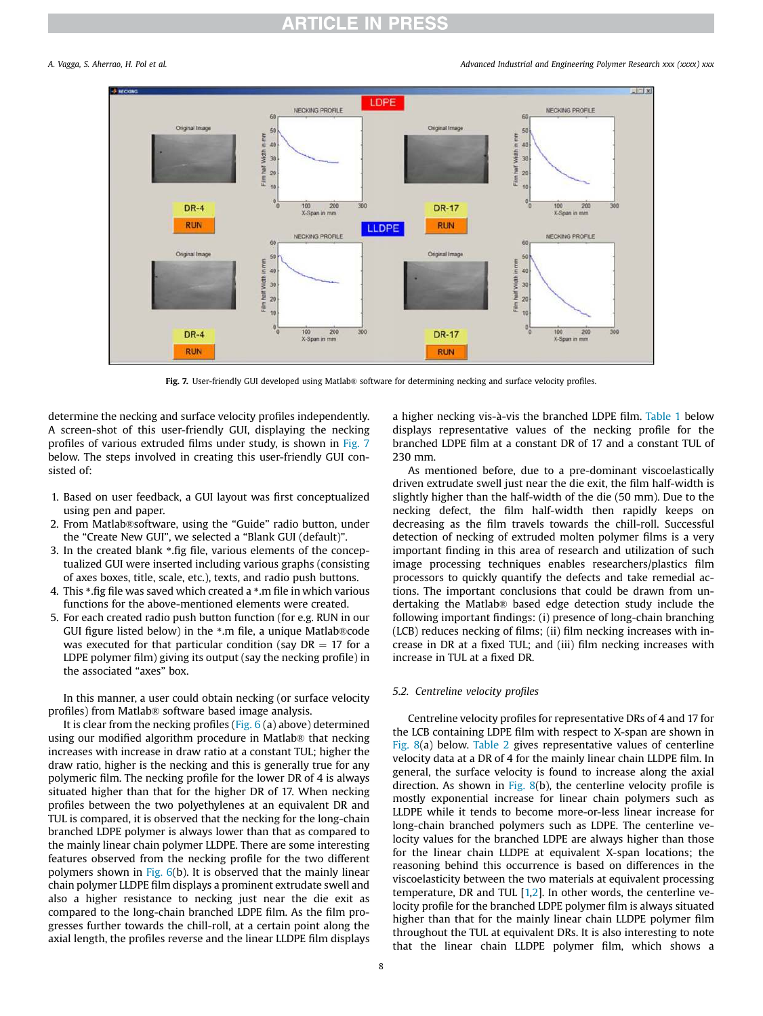*A. Vagga, S. Aherrao, H. Pol et al. Advanced Industrial and Engineering Polymer Research xxx (xxxx) xxx*



Fig. 7. User-friendly GUI developed using Matlab® software for determining necking and surface velocity profiles.

determine the necking and surface velocity profiles independently. A screen-shot of this user-friendly GUI, displaying the necking profiles of various extruded films under study, is shown in Fig. 7 below. The steps involved in creating this user-friendly GUI consisted of:

- 1. Based on user feedback, a GUI layout was first conceptualized using pen and paper.
- 2. From Matlab®software, using the "Guide" radio button, under the "Create New GUI", we selected a "Blank GUI (default)".
- 3. In the created blank \*.fig file, various elements of the conceptualized GUI were inserted including various graphs (consisting of axes boxes, title, scale, etc.), texts, and radio push buttons.
- 4. This \*.fig file was saved which created a \*.m file in which various functions for the above-mentioned elements were created.
- 5. For each created radio push button function (for e.g. RUN in our GUI figure listed below) in the \*.m file, a unique Matlab®code was executed for that particular condition (say  $DR = 17$  for a LDPE polymer film) giving its output (say the necking profile) in the associated "axes" box.

In this manner, a user could obtain necking (or surface velocity profiles) from Matlab® software based image analysis.

It is clear from the necking profiles (Fig.  $6$  (a) above) determined using our modified algorithm procedure in Matlab® that necking increases with increase in draw ratio at a constant TUL; higher the draw ratio, higher is the necking and this is generally true for any polymeric film. The necking profile for the lower DR of 4 is always situated higher than that for the higher DR of 17. When necking profiles between the two polyethylenes at an equivalent DR and TUL is compared, it is observed that the necking for the long-chain branched LDPE polymer is always lower than that as compared to the mainly linear chain polymer LLDPE. There are some interesting features observed from the necking profile for the two different polymers shown in Fig.  $6(b)$ . It is observed that the mainly linear chain polymer LLDPE film displays a prominent extrudate swell and also a higher resistance to necking just near the die exit as compared to the long-chain branched LDPE film. As the film progresses further towards the chill-roll, at a certain point along the axial length, the profiles reverse and the linear LLDPE film displays a higher necking vis-a-vis the branched LDPE film. Table 1 below displays representative values of the necking profile for the branched LDPE film at a constant DR of 17 and a constant TUL of 230 mm.

As mentioned before, due to a pre-dominant viscoelastically driven extrudate swell just near the die exit, the film half-width is slightly higher than the half-width of the die (50 mm). Due to the necking defect, the film half-width then rapidly keeps on decreasing as the film travels towards the chill-roll. Successful detection of necking of extruded molten polymer films is a very important finding in this area of research and utilization of such image processing techniques enables researchers/plastics film processors to quickly quantify the defects and take remedial actions. The important conclusions that could be drawn from undertaking the Matlab® based edge detection study include the following important findings: (i) presence of long-chain branching (LCB) reduces necking of films; (ii) film necking increases with increase in DR at a fixed TUL; and (iii) film necking increases with increase in TUL at a fixed DR.

### *5.2. Centreline velocity pro*fi*les*

Centreline velocity profiles for representative DRs of 4 and 17 for the LCB containing LDPE film with respect to X-span are shown in Fig. 8(a) below. Table 2 gives representative values of centerline velocity data at a DR of 4 for the mainly linear chain LLDPE film. In general, the surface velocity is found to increase along the axial direction. As shown in Fig. 8(b), the centerline velocity profile is mostly exponential increase for linear chain polymers such as LLDPE while it tends to become more-or-less linear increase for long-chain branched polymers such as LDPE. The centerline velocity values for the branched LDPE are always higher than those for the linear chain LLDPE at equivalent X-span locations; the reasoning behind this occurrence is based on differences in the viscoelasticity between the two materials at equivalent processing temperature, DR and TUL  $[1,2]$ . In other words, the centerline velocity profile for the branched LDPE polymer film is always situated higher than that for the mainly linear chain LLDPE polymer film throughout the TUL at equivalent DRs. It is also interesting to note that the linear chain LLDPE polymer film, which shows a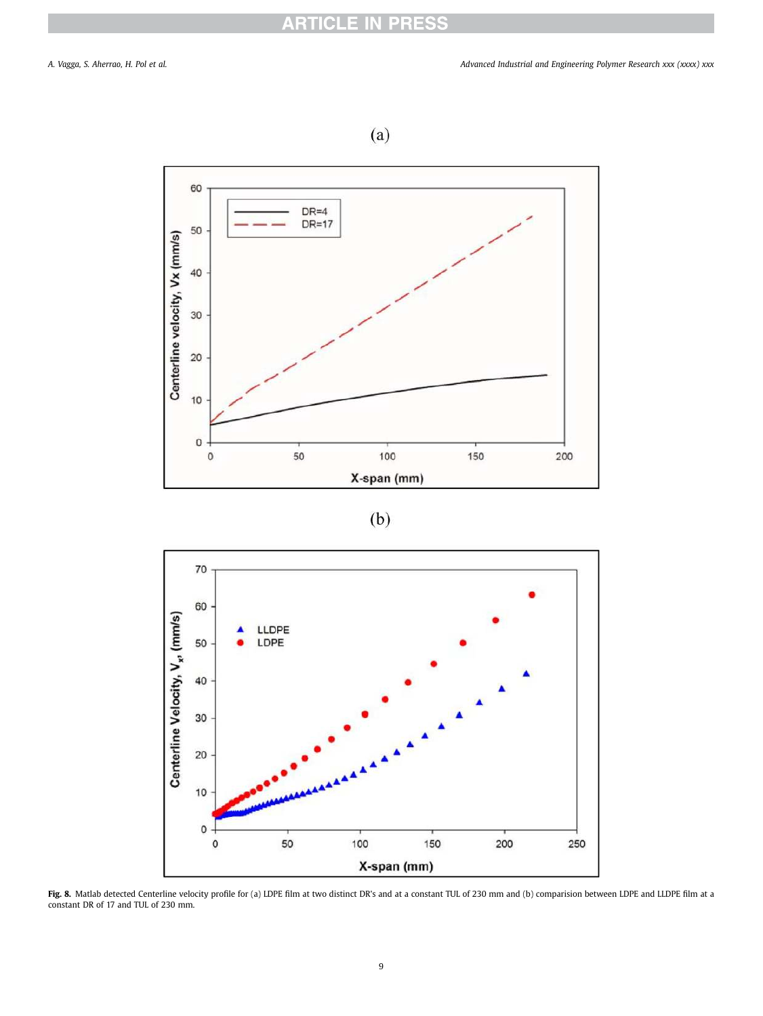







Fig. 8. Matlab detected Centerline velocity profile for (a) LDPE film at two distinct DR's and at a constant TUL of 230 mm and (b) comparision between LDPE and LLDPE film at a constant DR of 17 and TUL of 230 mm.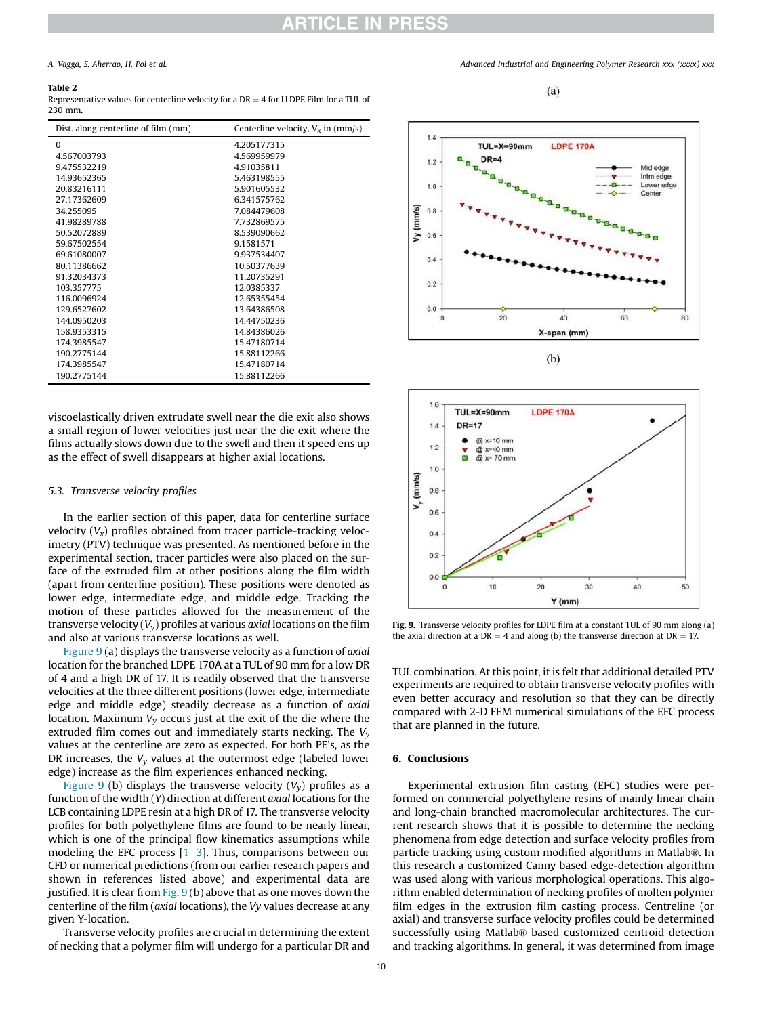#### Table 2

Representative values for centerline velocity for a  $DR = 4$  for LLDPE Film for a TUL of 230 mm.

| Dist, along centerline of film (mm) | Centerline velocity, $V_x$ in (mm/s) |
|-------------------------------------|--------------------------------------|
| $\Omega$                            | 4.205177315                          |
| 4.567003793                         | 4.569959979                          |
| 9.475532219                         | 4.91035811                           |
| 14.93652365                         | 5.463198555                          |
| 20.83216111                         | 5.901605532                          |
| 27.17362609                         | 6.341575762                          |
| 34.255095                           | 7.084479608                          |
| 41.98289788                         | 7.732869575                          |
| 50.52072889                         | 8.539090662                          |
| 59.67502554                         | 9.1581571                            |
| 69.61080007                         | 9937534407                           |
| 80.11386662                         | 10.50377639                          |
| 91.32034373                         | 11.20735291                          |
| 103.357775                          | 12.0385337                           |
| 116.0096924                         | 12.65355454                          |
| 129.6527602                         | 13.64386508                          |
| 144.0950203                         | 14.44750236                          |
| 158.9353315                         | 14.84386026                          |
| 174.3985547                         | 15.47180714                          |
| 190.2775144                         | 15.88112266                          |
| 174.3985547                         | 15.47180714                          |
| 190.2775144                         | 15.88112266                          |

viscoelastically driven extrudate swell near the die exit also shows a small region of lower velocities just near the die exit where the films actually slows down due to the swell and then it speed ens up as the effect of swell disappears at higher axial locations.

#### *5.3. Transverse velocity pro*fi*les*

In the earlier section of this paper, data for centerline surface velocity  $(V_x)$  profiles obtained from tracer particle-tracking velocimetry (PTV) technique was presented. As mentioned before in the experimental section, tracer particles were also placed on the surface of the extruded film at other positions along the film width (apart from centerline position). These positions were denoted as lower edge, intermediate edge, and middle edge. Tracking the motion of these particles allowed for the measurement of the transverse velocity (*Vy*) profiles at various *axial* locations on the film and also at various transverse locations as well.

Figure 9 (a) displays the transverse velocity as a function of *axial* location for the branched LDPE 170A at a TUL of 90 mm for a low DR of 4 and a high DR of 17. It is readily observed that the transverse velocities at the three different positions (lower edge, intermediate edge and middle edge) steadily decrease as a function of *axial* location. Maximum *V<sup>y</sup>* occurs just at the exit of the die where the extruded film comes out and immediately starts necking. The *V<sup>y</sup>* values at the centerline are zero as expected. For both PE's, as the DR increases, the  $V<sub>y</sub>$  values at the outermost edge (labeled lower edge) increase as the film experiences enhanced necking.

Figure 9 (b) displays the transverse velocity  $(V_v)$  profiles as a function of the width (*Y*) direction at different *axial* locations for the LCB containing LDPE resin at a high DR of 17. The transverse velocity profiles for both polyethylene films are found to be nearly linear, which is one of the principal flow kinematics assumptions while modeling the EFC process  $[1-3]$ . Thus, comparisons between our CFD or numerical predictions (from our earlier research papers and shown in references listed above) and experimental data are justified. It is clear from Fig. 9 (b) above that as one moves down the centerline of the film (*axial* locations), the *Vy* values decrease at any given Y-location.

Transverse velocity profiles are crucial in determining the extent of necking that a polymer film will undergo for a particular DR and

*A. Vagga, S. Aherrao, H. Pol et al. Advanced Industrial and Engineering Polymer Research xxx (xxxx) xxx*

 $(a)$ 





Fig. 9. Transverse velocity profiles for LDPE film at a constant TUL of 90 mm along (a) the axial direction at a  $DR = 4$  and along (b) the transverse direction at  $DR = 17$ .

TUL combination. At this point, it is felt that additional detailed PTV experiments are required to obtain transverse velocity profiles with even better accuracy and resolution so that they can be directly compared with 2-D FEM numerical simulations of the EFC process that are planned in the future.

#### 6. Conclusions

Experimental extrusion film casting (EFC) studies were performed on commercial polyethylene resins of mainly linear chain and long-chain branched macromolecular architectures. The current research shows that it is possible to determine the necking phenomena from edge detection and surface velocity profiles from particle tracking using custom modified algorithms in Matlab®. In this research a customized Canny based edge-detection algorithm was used along with various morphological operations. This algorithm enabled determination of necking profiles of molten polymer film edges in the extrusion film casting process. Centreline (or axial) and transverse surface velocity profiles could be determined successfully using Matlab® based customized centroid detection and tracking algorithms. In general, it was determined from image